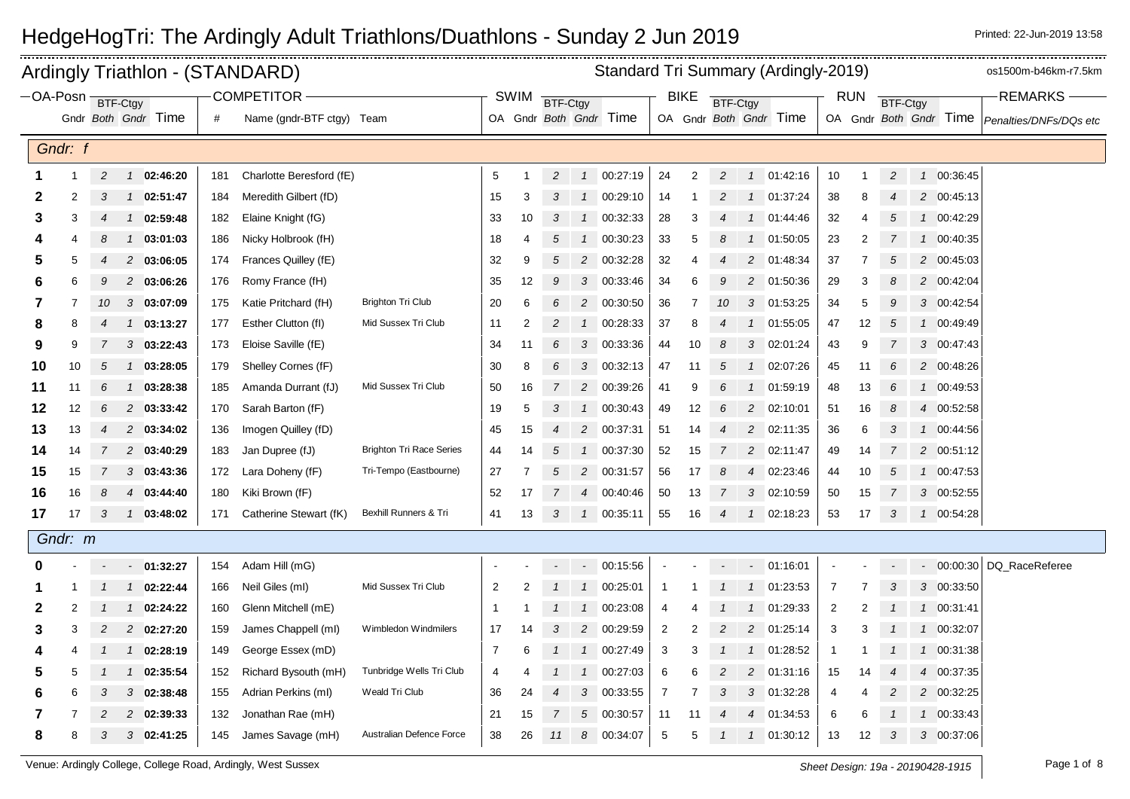| Standard Tri Summary (Ardingly-2019)<br>Ardingly Triathlon - (STANDARD)<br>-OA-Posn BTF-Ctgy |         |                |                |                     |     |                           |                                 |                |                |                |                |                        |                | os1500m-b46km-r7.5km |                 |                        |                        |                |                |                 |   |                        |                           |
|----------------------------------------------------------------------------------------------|---------|----------------|----------------|---------------------|-----|---------------------------|---------------------------------|----------------|----------------|----------------|----------------|------------------------|----------------|----------------------|-----------------|------------------------|------------------------|----------------|----------------|-----------------|---|------------------------|---------------------------|
|                                                                                              |         |                |                |                     |     | <b>COMPETITOR -</b>       |                                 |                | <b>SWIM</b>    | BTF-Ctgy       |                |                        |                | <b>BIKE</b>          | <b>BTF-Ctgy</b> |                        |                        |                | <b>RUN</b>     | <b>BTF-Ctgy</b> |   |                        | <b>REMARKS</b>            |
|                                                                                              |         |                |                | Gndr Both Gndr Time | #   | Name (gndr-BTF ctgy) Team |                                 |                |                |                |                | OA Gndr Both Gndr Time |                |                      |                 |                        | OA Gndr Both Gndr Time |                |                |                 |   | OA Gndr Both Gndr Time | Penalties/DNFs/DQs etc    |
|                                                                                              | Gndr: f |                |                |                     |     |                           |                                 |                |                |                |                |                        |                |                      |                 |                        |                        |                |                |                 |   |                        |                           |
|                                                                                              |         |                |                |                     |     |                           |                                 |                |                |                |                |                        |                |                      |                 |                        |                        |                |                |                 |   |                        |                           |
| 1                                                                                            | -1      | $\overline{c}$ |                | 1 02:46:20          | 181 | Charlotte Beresford (fE)  |                                 | 5              |                | $\overline{c}$ | $\mathcal{I}$  | 00:27:19               | 24             | $\overline{2}$       | 2               | $\mathbf{1}$           | 01:42:16               | 10             | -1             | $\overline{c}$  |   | 1 00:36:45             |                           |
| 2                                                                                            | 2       | 3              |                | 1 02:51:47          | 184 | Meredith Gilbert (fD)     |                                 | 15             | 3              | 3              |                | 1 00:29:10             | 14             |                      |                 | $\mathcal{I}$          | 01:37:24               | 38             | 8              |                 |   | 2 00:45:13             |                           |
| з                                                                                            | 3       | 4              | $\mathcal{I}$  | 02:59:48            | 182 | Elaine Knight (fG)        |                                 | 33             | 10             | 3              | $\mathcal{I}$  | 00:32:33               | 28             | 3                    |                 |                        | 01:44:46               | 32             | 4              | 5               |   | 1 00:42:29             |                           |
|                                                                                              |         | 8              | $\mathcal{I}$  | 03:01:03            | 186 | Nicky Holbrook (fH)       |                                 | 18             | 4              | 5              | $\mathcal{I}$  | 00:30:23               | 33             | 5                    | 8               | $\mathcal I$           | 01:50:05               | 23             | 2              | 7               |   | 1 00:40:35             |                           |
| 5                                                                                            | 5       |                |                | 2 03:06:05          | 174 | Frances Quilley (fE)      |                                 | 32             | 9              | 5              | $\overline{c}$ | 00:32:28               | 32             | 4                    |                 | $\overline{c}$         | 01:48:34               | 37             | 7              | 5               |   | 2 00:45:03             |                           |
| 6                                                                                            | 6       | 9              |                | 2 03:06:26          | 176 | Romy France (fH)          |                                 | 35             | 12             | 9              |                | 3 00:33:46             | 34             | 6                    | 9               | $\overline{c}$         | 01:50:36               | 29             | 3              | 8               |   | 2 00:42:04             |                           |
| 7                                                                                            | 7       | 10             |                | 303:07:09           | 175 | Katie Pritchard (fH)      | <b>Brighton Tri Club</b>        | 20             | 6              | 6              | $\overline{c}$ | 00:30:50               | $36\,$         | 7                    | 10              |                        | 3 01:53:25             | 34             | 5              | 9               |   | 3 00:42:54             |                           |
| 8                                                                                            | 8       |                |                | 1 03:13:27          | 177 | Esther Clutton (fl)       | Mid Sussex Tri Club             | 11             | 2              | 2              | $\mathcal{I}$  | 00:28:33               | 37             | 8                    |                 | $\mathcal{I}$          | 01:55:05               | 47             | 12             | 5               |   | 1 00:49:49             |                           |
| 9                                                                                            |         |                |                | $3$ 03:22:43        | 173 | Eloise Saville (fE)       |                                 | 34             | 11             | 6              | 3              | 00:33:36               | 44             | 10                   | 8               | 3                      | 02:01:24               | 43             | 9              |                 |   | 3 00:47:43             |                           |
| 10                                                                                           | 10      | 5              | $\mathcal{I}$  | 03:28:05            | 179 | Shelley Cornes (fF)       |                                 | 30             | 8              | 6              | 3              | 00:32:13               | 47             | 11                   | 5               | $\mathcal I$           | 02:07:26               | 45             | 11             | 6               |   | 2 00:48:26             |                           |
| 11                                                                                           | 11      | 6              |                | $1$ 03:28:38        | 185 | Amanda Durrant (fJ)       | Mid Sussex Tri Club             | 50             | 16             | $\overline{7}$ | $\overline{c}$ | 00:39:26               | 41             | 9                    | 6               | $\mathbf{1}$           | 01:59:19               | 48             | 13             | 6               |   | 1 00:49:53             |                           |
| 12                                                                                           | 12      | 6              |                | 2 03:33:42          | 170 | Sarah Barton (fF)         |                                 | 19             | 5              | 3              | $\mathcal{I}$  | 00:30:43               | 49             | 12                   | 6               | 2                      | 02:10:01               | 51             | 16             | 8               | 4 | 00:52:58               |                           |
| 13                                                                                           | 13      | 4              |                | 2 03:34:02          | 136 | Imogen Quilley (fD)       |                                 | 45             | 15             | $\overline{4}$ | $\overline{c}$ | 00:37:31               | 51             | 14                   | 4               | $\overline{c}$         | 02:11:35               | 36             | 6              | 3               |   | 1 00:44:56             |                           |
| 14                                                                                           | 14      |                |                | 2 03:40:29          | 183 | Jan Dupree (fJ)           | <b>Brighton Tri Race Series</b> | 44             | 14             | 5              | $\mathbf{1}$   | 00:37:30               | 52             | 15                   | 7               | $\overline{c}$         | 02:11:47               | 49             | 14             |                 |   | 2 00:51:12             |                           |
| 15                                                                                           | 15      |                |                | $3$ 03:43:36        | 172 | Lara Doheny (fF)          | Tri-Tempo (Eastbourne)          | 27             |                | 5              | 2              | 00:31:57               | 56             | 17                   | 8               | $\overline{4}$         | 02:23:46               | 44             | 10             | 5               |   | 1 00:47:53             |                           |
| 16                                                                                           | 16      |                |                | 4 03:44:40          | 180 | Kiki Brown (fF)           |                                 | 52             | 17             |                |                | 4 00:40:46             | 50             | 13                   |                 | 3                      | 02:10:59               | 50             | 15             |                 |   | 3 00:52:55             |                           |
| 17                                                                                           | 17      | 3              |                | $1$ 03:48:02        | 171 | Catherine Stewart (fK)    | Bexhill Runners & Tri           | 41             | 13             | 3              | $\mathcal{I}$  | 00:35:11               | 55             | 16                   | $\overline{4}$  | $\mathcal{I}$          | 02:18:23               | 53             | 17             | 3               |   | 1 00:54:28             |                           |
|                                                                                              | Gndr: m |                |                |                     |     |                           |                                 |                |                |                |                |                        |                |                      |                 |                        |                        |                |                |                 |   |                        |                           |
|                                                                                              |         |                |                | $-01:32:27$         | 154 | Adam Hill (mG)            |                                 |                |                |                |                | $-00:15:56$            | $\blacksquare$ |                      |                 |                        | $-01:16:01$            |                |                |                 |   |                        | - 00:00:30 DQ RaceReferee |
|                                                                                              |         |                |                | 1 02:22:44          | 166 | Neil Giles (ml)           | Mid Sussex Tri Club             | $\overline{c}$ | $\overline{2}$ |                | $\mathcal{I}$  | 00:25:01               | $\overline{1}$ |                      |                 | $\mathcal{I}$          | 01:23:53               | $\overline{7}$ | $\overline{7}$ | 3               |   | 3 00:33:50             |                           |
| 2                                                                                            | 2       |                | $\overline{1}$ | 02:24:22            | 160 | Glenn Mitchell (mE)       |                                 | -1             |                |                | $\overline{1}$ | 00:23:08               | 4              |                      |                 | $\mathcal I$           | 01:29:33               | 2              | 2              |                 |   | 1 00:31:41             |                           |
| 3                                                                                            | 3       | 2              |                | 2 02:27:20          | 159 | James Chappell (ml)       | Wimbledon Windmilers            | 17             | 14             | 3              | $\overline{2}$ | 00:29:59               | $\overline{2}$ | 2                    |                 | 2                      | 01:25:14               | 3              | 3              |                 |   | 1 00:32:07             |                           |
| 4                                                                                            |         |                |                | 1 02:28:19          | 149 | George Essex (mD)         |                                 | $\overline{7}$ | 6              |                |                | 1 00:27:49             | 3              | 3                    |                 |                        | 1 01:28:52             | $\mathbf{1}$   |                |                 |   | 1 00:31:38             |                           |
| 5                                                                                            |         |                | $\mathcal{I}$  | 02:35:54            | 152 | Richard Bysouth (mH)      | Tunbridge Wells Tri Club        | 4              |                |                | $\mathcal{I}$  | 00:27:03               | 6              | 6                    | 2               | 2                      | 01:31:16               | 15             | 14             |                 |   | 4 00:37:35             |                           |
| 6                                                                                            |         | 3              |                | $3$ 02:38:48        | 155 | Adrian Perkins (ml)       | Weald Tri Club                  | 36             | 24             | 4              | 3              | 00:33:55               | 7              |                      | 3               | 3                      | 01:32:28               | 4              | 4              |                 |   | 2 00:32:25             |                           |
|                                                                                              |         |                |                | 2 02:39:33          | 132 | Jonathan Rae (mH)         |                                 | 21             | 15             |                | 5              | 00:30:57               | 11             | 11                   |                 | $\boldsymbol{\Lambda}$ | 01:34:53               | 6              | 6              |                 |   | 1 00:33:43             |                           |
| 8                                                                                            | 8       | 3              |                | 3 02:41:25          | 145 | James Savage (mH)         | Australian Defence Force        | 38             | 26             | 11             | 8              | 00:34:07               | $\mathbf 5$    | 5                    |                 | $\mathcal{I}$          | 01:30:12               | 13             | 12             | 3               |   | 3 00:37:06             |                           |
|                                                                                              |         |                |                |                     |     |                           |                                 |                |                |                |                |                        |                |                      |                 |                        |                        |                |                |                 |   |                        |                           |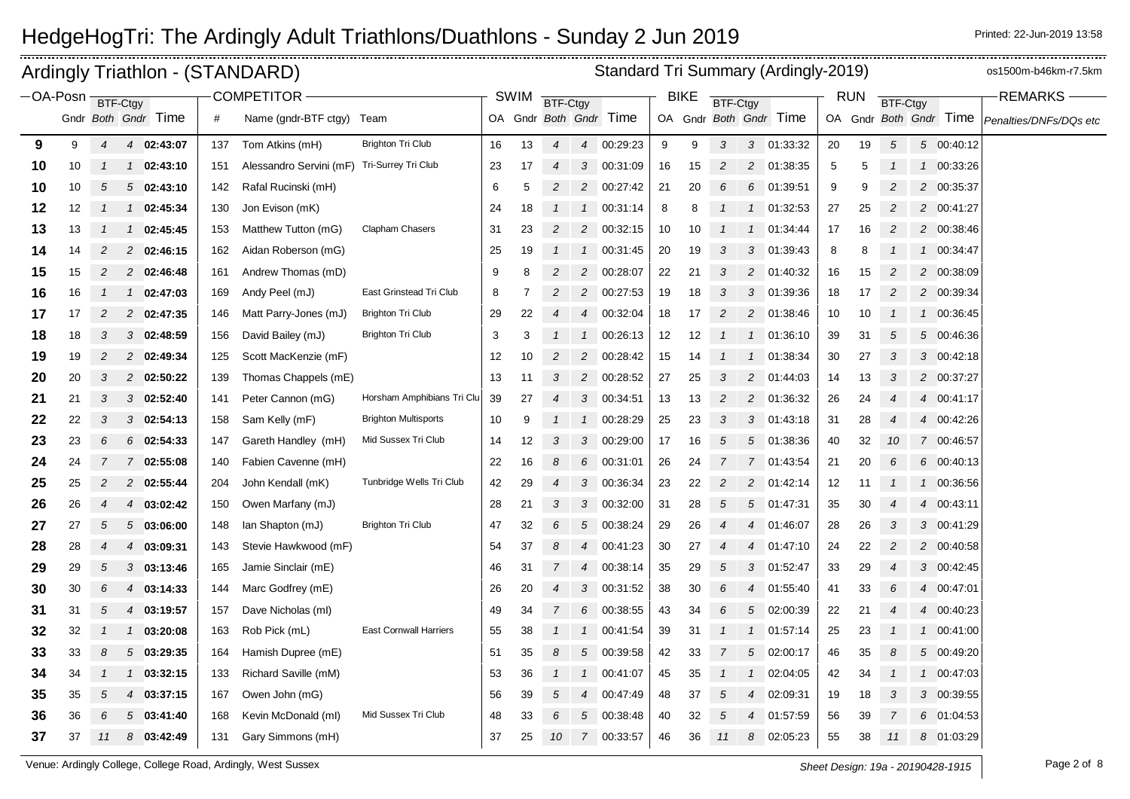|             |    |                | Ardingly Triathlon - (STANDARD) |     |                           |                               |    |             |                |                 |                        |    |             |                 |                  | Standard Tri Summary (Ardingly-2019) |    |            |                  |               |                        | os1500m-b46km-r7.5km   |
|-------------|----|----------------|---------------------------------|-----|---------------------------|-------------------------------|----|-------------|----------------|-----------------|------------------------|----|-------------|-----------------|------------------|--------------------------------------|----|------------|------------------|---------------|------------------------|------------------------|
| $-$ OA-Posn |    |                | BTF-Ctgy                        |     | <b>COMPETITOR</b>         |                               |    | <b>SWIM</b> | BTF-Ctgy       |                 |                        |    | <b>BIKE</b> | <b>BTF-Ctgy</b> |                  |                                      |    | <b>RUN</b> | <b>BTF-Ctgy</b>  |               |                        | <b>REMARKS</b>         |
|             |    |                | Gndr Both Gndr Time             | #   | Name (gndr-BTF ctgy) Team |                               |    |             |                |                 | OA Gndr Both Gndr Time |    |             |                 |                  | OA Gndr Both Gndr Time               |    |            |                  |               | OA Gndr Both Gndr Time | Penalties/DNFs/DQs etc |
| 9           | 9  | 4              | $\overline{4}$<br>02:43:07      | 137 | Tom Atkins (mH)           | <b>Brighton Tri Club</b>      | 16 | 13          | $\overline{4}$ | $\overline{4}$  | 00:29:23               | 9  | 9           | 3               |                  | 3 01:33:32                           | 20 | 19         | 5                |               | 5 00:40:12             |                        |
| 10          | 10 | -1             | 02:43:10<br>$\mathcal{I}$       | 151 | Alessandro Servini (mF)   | Tri-Surrey Tri Club           | 23 | 17          | $\overline{4}$ | 3               | 00:31:09               | 16 | 15          | $\overline{c}$  |                  | 2 01:38:35                           | 5  | 5          |                  | $\mathcal{I}$ | 00:33:26               |                        |
| 10          | 10 | 5              | 502:43:10                       | 142 | Rafal Rucinski (mH)       |                               | 6  | 5           | $\overline{2}$ | $\overline{c}$  | 00:27:42               | 21 | 20          | 6               |                  | 6 01:39:51                           | 9  | 9          | $\overline{2}$   |               | 2 00:35:37             |                        |
| 12          | 12 | 1              | 02:45:34<br>$\mathcal{I}$       | 130 | Jon Evison (mK)           |                               | 24 | 18          | $\mathcal{I}$  | $\mathcal{I}$   | 00:31:14               | 8  | 8           | -1              | $\mathcal{I}$    | 01:32:53                             | 27 | 25         | $\overline{c}$   |               | 2 00:41:27             |                        |
| 13          | 13 |                | 02:45:45<br>$\mathcal{I}$       | 153 | Matthew Tutton (mG)       | Clapham Chasers               | 31 | 23          | 2              |                 | 2 00:32:15             | 10 | 10          | $\mathbf{1}$    | $\mathcal I$     | 01:34:44                             | 17 | 16         | $\overline{2}$   |               | 2 00:38:46             |                        |
| 14          | 14 |                | 2 02:46:15                      | 162 | Aidan Roberson (mG)       |                               | 25 | 19          |                | $\mathcal{I}$   | 00:31:45               | 20 | 19          | 3               | 3                | 01:39:43                             | 8  | 8          |                  |               | 00:34:47               |                        |
| 15          | 15 | 2              | 2 02:46:48                      | 161 | Andrew Thomas (mD)        |                               | 9  | 8           | 2              | 2               | 00:28:07               | 22 | 21          | 3               |                  | 2 01:40:32                           | 16 | 15         | $\overline{2}$   |               | 2 00:38:09             |                        |
| 16          | 16 | 1              | 02:47:03<br>$\mathcal{I}$       | 169 | Andy Peel (mJ)            | East Grinstead Tri Club       | 8  |             | $\overline{c}$ | $\overline{2}$  | 00:27:53               | 19 | 18          | 3               | 3                | 01:39:36                             | 18 | 17         | $\overline{c}$   |               | 2 00:39:34             |                        |
| 17          | 17 | $\overline{c}$ | 2 02:47:35                      | 146 | Matt Parry-Jones (mJ)     | <b>Brighton Tri Club</b>      | 29 | 22          | $\overline{4}$ | 4               | 00:32:04               | 18 | 17          | $\overline{c}$  |                  | 2 01:38:46                           | 10 | 10         |                  | 1             | 00:36:45               |                        |
| 18          | 18 | 3              | 3 02:48:59                      | 156 | David Bailey (mJ)         | <b>Brighton Tri Club</b>      | 3  | 3           |                | $\mathcal{I}$   | 00:26:13               | 12 | 12          | $\mathcal{I}$   |                  | 1 01:36:10                           | 39 | 31         | 5                |               | 5 00:46:36             |                        |
| 19          | 19 | $\overline{c}$ | 2 02:49:34                      | 125 | Scott MacKenzie (mF)      |                               | 12 | 10          | 2              | $\overline{c}$  | 00:28:42               | 15 | 14          | -1              | $\mathbf{1}$     | 01:38:34                             | 30 | 27         | 3                |               | 3 00:42:18             |                        |
| 20          | 20 | 3              | 2 02:50:22                      | 139 | Thomas Chappels (mE)      |                               | 13 | 11          | 3              |                 | 2 00:28:52             | 27 | 25          | 3               |                  | 2 01:44:03                           | 14 | 13         | 3                |               | 2 00:37:27             |                        |
| 21          | 21 | З              | $3$ 02:52:40                    | 141 | Peter Cannon (mG)         | Horsham Amphibians Tri Clu    | 39 | 27          |                | 3               | 00:34:51               | 13 | 13          | 2               |                  | 2 01:36:32                           | 26 | 24         |                  | 4             | 00:41:17               |                        |
| 22          | 22 | 3              | $3$ 02:54:13                    | 158 | Sam Kelly (mF)            | <b>Brighton Multisports</b>   | 10 | 9           |                | $\mathcal{I}$   | 00:28:29               | 25 | 23          | 3               |                  | 3 01:43:18                           | 31 | 28         | $\boldsymbol{4}$ |               | 4 00:42:26             |                        |
| 23          | 23 | 6              | $6$ 02:54:33                    | 147 | Gareth Handley (mH)       | Mid Sussex Tri Club           | 14 | 12          | 3              | 3               | 00:29:00               | 17 | 16          | 5               | $5\overline{)}$  | 01:38:36                             | 40 | 32         | 10               |               | 7 00:46:57             |                        |
| 24          | 24 | 7              | 7 02:55:08                      | 140 | Fabien Cavenne (mH)       |                               | 22 | 16          | 8              | 6               | 00:31:01               | 26 | 24          | $\overline{7}$  | $7^{\circ}$      | 01:43:54                             | 21 | 20         | 6                | 6             | 00:40:13               |                        |
| 25          | 25 | 2              | 2 02:55:44                      | 204 | John Kendall (mK)         | Tunbridge Wells Tri Club      | 42 | 29          | 4              |                 | 3 00:36:34             | 23 | 22          | $\overline{2}$  |                  | 2 01:42:14                           | 12 | 11         |                  |               | 1 00:36:56             |                        |
| 26          | 26 | 4              | 03:02:42<br>4                   | 150 | Owen Marfany (mJ)         |                               | 28 | 21          | 3              | 3               | 00:32:00               | 31 | 28          | 5               | $5^{\circ}$      | 01:47:31                             | 35 | 30         | $\overline{4}$   | 4             | 00:43:11               |                        |
| 27          | 27 | 5              | 5<br>03:06:00                   | 148 | lan Shapton (mJ)          | <b>Brighton Tri Club</b>      | 47 | 32          | 6              | $5\overline{)}$ | 00:38:24               | 29 | 26          | $\overline{4}$  | $\boldsymbol{4}$ | 01:46:07                             | 28 | 26         | 3                | 3             | 00:41:29               |                        |
| 28          | 28 |                | 03:09:31<br>4                   | 143 | Stevie Hawkwood (mF)      |                               | 54 | 37          | 8              | $\overline{4}$  | 00:41:23               | 30 | 27          | 4               | 4                | 01:47:10                             | 24 | 22         | $\overline{c}$   |               | 2 00:40:58             |                        |
| 29          | 29 | 5              | $3$ 03:13:46                    | 165 | Jamie Sinclair (mE)       |                               | 46 | 31          | $\overline{7}$ | 4               | 00:38:14               | 35 | 29          | 5               |                  | 3 01:52:47                           | 33 | 29         | $\overline{4}$   |               | 3 00:42:45             |                        |
| 30          | 30 | 6              | 03:14:33<br>4                   | 144 | Marc Godfrey (mE)         |                               | 26 | 20          | $\overline{4}$ | 3               | 00:31:52               | 38 | 30          | 6               | 4                | 01:55:40                             | 41 | 33         | 6                | 4             | 00:47:01               |                        |
| 31          | 31 | 5              | 03:19:57<br>4                   | 157 | Dave Nicholas (ml)        |                               | 49 | 34          | $\overline{7}$ | 6               | 00:38:55               | 43 | 34          | 6               | 5                | 02:00:39                             | 22 | 21         |                  | 4             | 00:40:23               |                        |
| 32          | 32 |                | $1$ 03:20:08                    | 163 | Rob Pick (mL)             | <b>East Cornwall Harriers</b> | 55 | 38          | $\mathcal{I}$  | $\mathcal{I}$   | 00:41:54               | 39 | 31          | $\overline{1}$  |                  | 1 01:57:14                           | 25 | 23         |                  |               | 1 00:41:00             |                        |
| 33          | 33 | 8              | 5<br>03:29:35                   | 164 | Hamish Dupree (mE)        |                               | 51 | 35          | 8              | $5^{\circ}$     | 00:39:58               | 42 | 33          | 7               | 5                | 02:00:17                             | 46 | 35         | 8                | 5             | 00:49:20               |                        |
| 34          | 34 |                | 03:32:15<br>$\mathcal{I}$       | 133 | Richard Saville (mM)      |                               | 53 | 36          |                | $\mathcal{I}$   | 00:41:07               | 45 | 35          | -1              |                  | 02:04:05                             | 42 | 34         |                  | $\mathcal{I}$ | 00:47:03               |                        |
| 35          | 35 | 5              | 4 03:37:15                      | 167 | Owen John (mG)            |                               | 56 | 39          | 5              | $\overline{4}$  | 00:47:49               | 48 | 37          | 5               | 4                | 02:09:31                             | 19 | 18         | 3                |               | 3 00:39:55             |                        |
| 36          | 36 | 6              | 5<br>03:41:40                   | 168 | Kevin McDonald (ml)       | Mid Sussex Tri Club           | 48 | 33          | 6              | 5               | 00:38:48               | 40 | 32          | 5               | $\overline{4}$   | 01:57:59                             | 56 | 39         | 7                |               | 6 01:04:53             |                        |
| 37          | 37 | 11             | 8<br>03:42:49                   | 131 | Gary Simmons (mH)         |                               | 37 | 25          | 10             | $\overline{7}$  | 00:33:57               | 46 | 36          | 11              | 8                | 02:05:23                             | 55 | 38         | 11               | 8             | 01:03:29               |                        |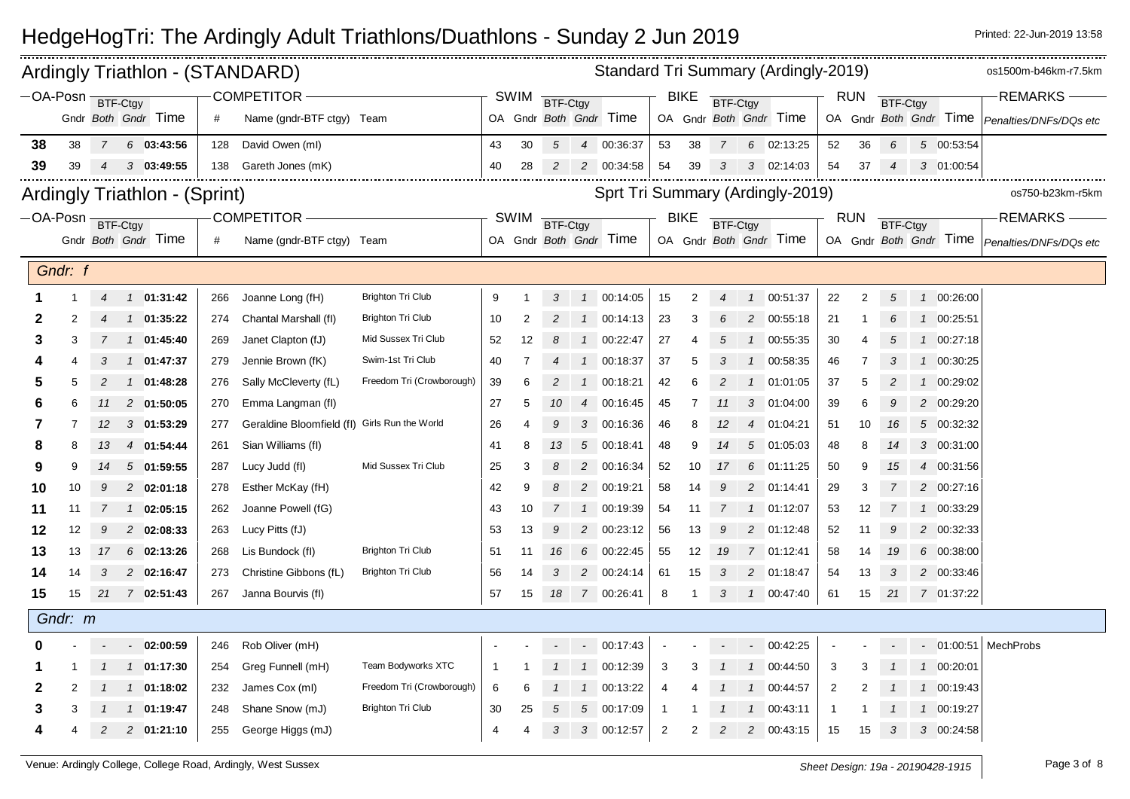|    |                   |                | Ardingly Triathlon - (STANDARD)      |     |                                               |                           |    |             |                |                | Standard Tri Summary (Ardingly-2019) |                |                |                |                |                        |                |                |                 |                        | os1500m-b46km-r7.5km                            |
|----|-------------------|----------------|--------------------------------------|-----|-----------------------------------------------|---------------------------|----|-------------|----------------|----------------|--------------------------------------|----------------|----------------|----------------|----------------|------------------------|----------------|----------------|-----------------|------------------------|-------------------------------------------------|
|    | $-$ OA-Posn $-$   |                | BTF-Ctgy                             |     | <b>COMPETITOR</b>                             |                           |    | SWIM        | BTF-Ctgy       |                |                                      |                | <b>BIKE</b>    | BTF-Ctgy       |                |                        |                | <b>RUN</b>     | <b>BTF-Ctgy</b> |                        | <b>REMARKS</b>                                  |
|    |                   |                | Gndr Both Gndr Time                  | #   | Name (gndr-BTF ctgy) Team                     |                           |    |             |                |                | OA Gndr Both Gndr Time               |                |                |                |                | OA Gndr Both Gndr Time |                |                |                 | OA Gndr Both Gndr Time | Penalties/DNFs/DQs etc                          |
| 38 | 38                | $7^{\circ}$    | $6$ 03:43:56                         | 128 | David Owen (ml)                               |                           | 43 | 30          | $5^{\circ}$    |                | 4 00:36:37                           | 53             | 38             | $\overline{7}$ |                | 6 02:13:25             | 52             | 36             | 6               | 5 00:53:54             |                                                 |
| 39 | 39                | 4              | $3$ 03:49:55                         | 138 | Gareth Jones (mK)                             |                           | 40 | 28          | $\overline{c}$ |                | 2 00:34:58                           | 54             | 39             | 3              |                | 3 02:14:03             | 54             | 37             | 4               | 3 01:00:54             |                                                 |
|    |                   |                |                                      |     |                                               |                           |    |             |                |                |                                      |                |                |                |                |                        |                |                |                 |                        |                                                 |
|    |                   |                | <b>Ardingly Triathlon - (Sprint)</b> |     |                                               |                           |    |             |                |                | Sprt Tri Summary (Ardingly-2019)     |                |                |                |                |                        |                |                |                 |                        | os750-b23km-r5km                                |
|    | -OA-Posn BTF-Ctgy |                |                                      |     | <b>COMPETITOR -</b>                           |                           |    | <b>SWIM</b> | BTF-Ctgy       |                |                                      |                | <b>BIKE</b>    | BTF-Ctgy       |                |                        |                | <b>RUN</b>     | <b>BTF-Ctgy</b> |                        | <b>REMARKS</b>                                  |
|    |                   |                | Gndr Both Gndr Time                  | #   | Name (gndr-BTF ctgy) Team                     |                           |    |             |                |                | OA Gndr Both Gndr Time               |                |                |                |                | OA Gndr Both Gndr Time |                |                |                 |                        | OA Gndr Both Gndr Time   Penalties/DNFs/DQs etc |
|    | Gndr: f           |                |                                      |     |                                               |                           |    |             |                |                |                                      |                |                |                |                |                        |                |                |                 |                        |                                                 |
|    |                   | 4              | $1 \quad 01:31:42$                   | 266 | Joanne Long (fH)                              | <b>Brighton Tri Club</b>  | 9  |             | 3              |                | 1 00:14:05                           | 15             | $\overline{2}$ | $\overline{4}$ |                | 1 00:51:37             | 22             | $\overline{c}$ | $\sqrt{5}$      | 1 00:26:00             |                                                 |
| 2  | 2                 |                | 01:35:22<br>$\mathcal{I}$            | 274 | Chantal Marshall (fl)                         | <b>Brighton Tri Club</b>  | 10 | 2           |                | $\mathcal{I}$  | 00:14:13                             | 23             | 3              | 6              | 2              | 00:55:18               | 21             |                | 6               | 1 00:25:51             |                                                 |
| З  | 3                 |                | 1 01:45:40                           | 269 | Janet Clapton (fJ)                            | Mid Sussex Tri Club       | 52 | 12          | 8              | $\mathcal{I}$  | 00:22:47                             | 27             |                | 5              | $\mathcal{I}$  | 00:55:35               | 30             |                | 5               | 1 00:27:18             |                                                 |
|    |                   |                | 1 01:47:37                           | 279 | Jennie Brown (fK)                             | Swim-1st Tri Club         | 40 |             |                | $\mathcal{I}$  | 00:18:37                             | 37             | 5              |                |                | 00:58:35               | 46             | 7              |                 | 1 00:30:25             |                                                 |
| 5  | 5                 | 2              | 01:48:28<br>$\mathcal{I}$            | 276 | Sally McCleverty (fL)                         | Freedom Tri (Crowborough) | 39 | 6           | 2              | $\mathcal{I}$  | 00:18:21                             | 42             | 6              | $\overline{2}$ | $\mathbf{1}$   | 01:01:05               | 37             | 5              | 2               | 1 00:29:02             |                                                 |
| 6  | 6                 | 11             | 2 01:50:05                           | 270 | Emma Langman (fl)                             |                           | 27 | 5           | 10             | $\overline{4}$ | 00:16:45                             | 45             |                | 11             | 3              | 01:04:00               | 39             | 6              | 9               | 2 00:29:20             |                                                 |
| 7  |                   | 12             | $3$ 01:53:29                         | 277 | Geraldine Bloomfield (fl) Girls Run the World |                           | 26 | 4           |                | 3              | 00:16:36                             | 46             | 8              | 12             | $\overline{4}$ | 01:04:21               | 51             | 10             | 16              | 5 00:32:32             |                                                 |
| 8  | 8                 | 13             | 4 01:54:44                           | 261 | Sian Williams (fl)                            |                           | 41 | 8           | 13             | $\sqrt{5}$     | 00:18:41                             | 48             | 9              | 14             |                | 5 01:05:03             | 48             | 8              | 14              | 3 00:31:00             |                                                 |
| 9  | 9                 | 14             | 501:59:55                            | 287 | Lucy Judd (fl)                                | Mid Sussex Tri Club       | 25 | 3           |                | 2              | 00:16:34                             | 52             | 10             | 17             | 6              | 01:11:25               | 50             | 9              | 15              | 4 00:31:56             |                                                 |
| 10 | 10                | g              | 2 02:01:18                           | 278 | Esther McKay (fH)                             |                           | 42 | 9           |                | $\overline{c}$ | 00:19:21                             | 58             | 14             |                | 2              | 01:14:41               | 29             | 3              |                 | 2 00:27:16             |                                                 |
| 11 | 11                |                | 1 02:05:15                           | 262 | Joanne Powell (fG)                            |                           | 43 | 10          | $\overline{7}$ |                | 1 00:19:39                           | 54             | -11            |                |                | 1 01:12:07             | 53             | 12             | 7               | 1 00:33:29             |                                                 |
| 12 | 12                | g              | 2 02:08:33                           | 263 | Lucy Pitts (fJ)                               |                           | 53 | 13          | 9              | $\overline{2}$ | 00:23:12                             | 56             | 13             | 9              | $\overline{c}$ | 01:12:48               | 52             | 11             | 9               | 2 00:32:33             |                                                 |
| 13 | 13                | 17             | 6 02:13:26                           | 268 | Lis Bundock (fl)                              | <b>Brighton Tri Club</b>  | 51 | 11          | 16             | 6              | 00:22:45                             | 55             | 12             | 19             |                | 7 01:12:41             | 58             | 14             | 19              | 6 00:38:00             |                                                 |
| 14 | 14                | 3              | 2 02:16:47                           | 273 | Christine Gibbons (fL)                        | <b>Brighton Tri Club</b>  | 56 | 14          | 3              | $\overline{2}$ | 00:24:14                             | 61             | 15             | 3              | $\overline{c}$ | 01:18:47               | 54             | 13             | 3               | 2 00:33:46             |                                                 |
| 15 | 15                |                | 21 7 02:51:43                        | 267 | Janna Bourvis (fl)                            |                           | 57 | 15          | 18             |                | 7 00:26:41                           | 8              | -1             | 3              | $\mathcal{I}$  | 00:47:40               | 61             | 15             | 21              | 7 01:37:22             |                                                 |
|    | Gndr: m           |                |                                      |     |                                               |                           |    |             |                |                |                                      |                |                |                |                |                        |                |                |                 |                        |                                                 |
|    |                   |                | $-02:00:59$                          | 246 | Rob Oliver (mH)                               |                           |    |             |                |                | $-00:17:43$                          |                |                |                |                | $-00:42:25$            |                |                |                 |                        | $-$ 01:00:51 MechProbs                          |
|    |                   |                | 01:17:30<br>$\mathcal{I}$            | 254 | Greg Funnell (mH)                             | Team Bodyworks XTC        | -1 |             |                | $\mathcal{I}$  | 00:12:39                             | 3              | 3              |                | $\mathcal{I}$  | 00:44:50               | 3              | 3              |                 | 1 00:20:01             |                                                 |
| 2  |                   |                | 1 01:18:02                           | 232 | James Cox (ml)                                | Freedom Tri (Crowborough) | 6  | 6           |                | $\mathcal{I}$  | 00:13:22                             | $\overline{4}$ |                |                | $\mathbf{1}$   | 00:44:57               | $\overline{2}$ |                |                 | 1 00:19:43             |                                                 |
| 3  |                   |                | 01:19:47<br>$\mathcal{I}$            | 248 | Shane Snow (mJ)                               | <b>Brighton Tri Club</b>  | 30 | 25          |                | 5              | 00:17:09                             | $\mathbf{1}$   |                |                |                | 00:43:11               | -1             |                |                 | 1 00:19:27             |                                                 |
|    | 4                 | $\overline{c}$ | 2 01:21:10                           | 255 | George Higgs (mJ)                             |                           | 4  | 4           | 3              | 3 <sup>7</sup> | 00:12:57                             | $\sqrt{2}$     | $\overline{2}$ | $\overline{2}$ |                | 2 00:43:15             | 15             | 15             | 3               | 3 00:24:58             |                                                 |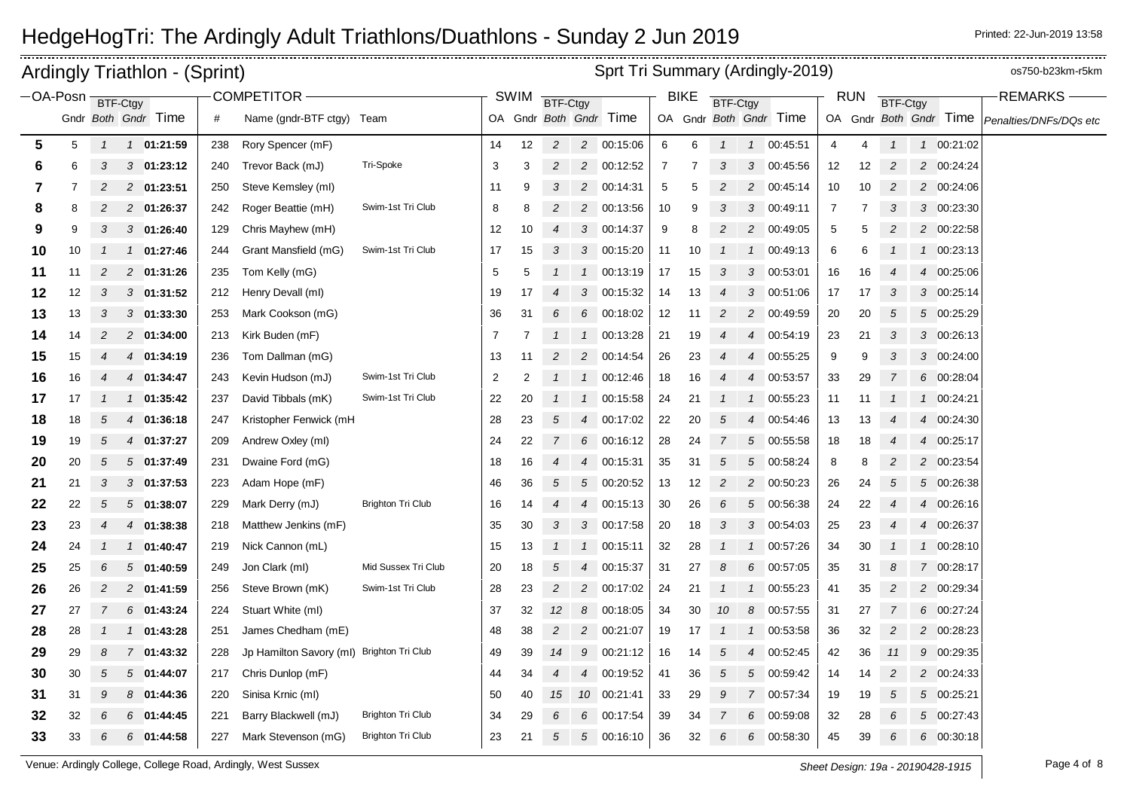|                   |    |                | Ardingly Triathlon - (Sprint) |     |                                           |                          |                |        |                     |                 | Sprt Tri Summary (Ardingly-2019) |    |             |                 |                  |                        |                |                      |                     |                |                        | os750-b23km-r5km       |
|-------------------|----|----------------|-------------------------------|-----|-------------------------------------------|--------------------------|----------------|--------|---------------------|-----------------|----------------------------------|----|-------------|-----------------|------------------|------------------------|----------------|----------------------|---------------------|----------------|------------------------|------------------------|
| -OA-Posn BTF-Ctgy |    |                |                               |     | <b>COMPETITOR -</b>                       |                          |                | SWIM   | <b>BTF-Ctgy</b>     |                 |                                  |    | <b>BIKE</b> | <b>BTF-Ctgy</b> |                  |                        |                | <b>RUN</b>           | <b>BTF-Ctgy</b>     |                |                        | <b>REMARKS</b>         |
|                   |    |                | Gndr Both Gndr Time           | #   | Name (gndr-BTF ctgy) Team                 |                          |                |        |                     |                 | OA Gndr Both Gndr Time           |    |             |                 |                  | OA Gndr Both Gndr Time |                |                      |                     |                | OA Gndr Both Gndr Time | Penalties/DNFs/DQs etc |
| 5                 | 5  | $\mathcal{I}$  | 1 01:21:59                    |     | Rory Spencer (mF)                         |                          |                | 12     | $\overline{2}$      |                 | 2 00:15:06                       | 6  | 6           | $\mathbf{1}$    | $\mathcal{I}$    | 00:45:51               | 4              | 4                    | $\overline{1}$      |                | 1 00:21:02             |                        |
|                   | 6  | 3              |                               | 238 | Trevor Back (mJ)                          | Tri-Spoke                | 14             | 3      | $\overline{2}$      |                 |                                  | 7  | 7           | 3               | 3                |                        |                |                      | $\overline{c}$      |                |                        |                        |
| 6                 |    | 2              | $3$ 01:23:12                  | 240 |                                           |                          | 3              |        |                     | $\overline{c}$  | 00:12:52                         |    | 5           | $\overline{c}$  |                  | 00:45:56               | 12             | 12                   |                     |                | 2 00:24:24             |                        |
| 7                 | 8  |                | 2 01:23:51                    | 250 | Steve Kemsley (ml)                        | Swim-1st Tri Club        | 11<br>$\,8\,$  | 9<br>8 | 3<br>$\overline{c}$ |                 | 2 00:14:31                       | 5  |             |                 | 3                | 2 00:45:14             | 10             | 10<br>$\overline{7}$ | $\overline{c}$      |                | 2 00:24:06             |                        |
| 8                 |    | 2              | 2 01:26:37                    | 242 | Roger Beattie (mH)                        |                          |                |        |                     | $2^{\circ}$     | 00:13:56                         | 10 | 9           | 3               |                  | 00:49:11               | $\overline{7}$ |                      | 3<br>$\overline{c}$ |                | 3 00:23:30             |                        |
| 9                 | 9  | 3              | 3 01:26:40                    | 129 | Chris Mayhew (mH)                         | Swim-1st Tri Club        | 12             | 10     | $\overline{4}$      | $\mathcal{S}$   | 00:14:37                         | 9  | 8           | 2               |                  | 2 00:49:05             | 5              | 5                    |                     |                | 2 00:22:58             |                        |
| 10                | 10 |                | 1 01:27:46                    | 244 | Grant Mansfield (mG)                      |                          | 17             | 15     | 3                   | 3               | 00:15:20                         | 11 | 10          |                 | $\mathcal I$     | 00:49:13               | 6              | 6                    |                     |                | 1 00:23:13             |                        |
| 11                | 11 | $\overline{2}$ | 2 01:31:26                    | 235 | Tom Kelly (mG)                            |                          | 5              | 5      |                     | $\mathcal{I}$   | 00:13:19                         | 17 | 15          | 3               |                  | $3$ 00:53:01           | 16             | 16                   | $\boldsymbol{4}$    |                | 4 00:25:06             |                        |
| 12                | 12 | 3              | $3$ 01:31:52                  | 212 | Henry Devall (ml)                         |                          | 19             | 17     | $\overline{4}$      | $\mathfrak{Z}$  | 00:15:32                         | 14 | 13          | $\overline{4}$  | 3                | 00:51:06               | 17             | 17                   | 3                   |                | 3 00:25:14             |                        |
| 13                | 13 | 3              | $3$ 01:33:30                  | 253 | Mark Cookson (mG)                         |                          | 36             | 31     | 6                   | 6               | 00:18:02                         | 12 | 11          | $\overline{c}$  | $\overline{c}$   | 00:49:59               | 20             | 20                   | 5                   | 5              | 00:25:29               |                        |
| 14                | 14 | 2              | 2 01:34:00                    | 213 | Kirk Buden (mF)                           |                          | 7              | 7      | $\mathcal{I}$       |                 | 1 00:13:28                       | 21 | 19          |                 |                  | 4 00:54:19             | 23             | 21                   | 3                   |                | 3 00:26:13             |                        |
| 15                | 15 |                | 01:34:19<br>4                 | 236 | Tom Dallman (mG)                          |                          | 13             | 11     | $\overline{c}$      |                 | 2 00:14:54                       | 26 | 23          | $\overline{4}$  | 4                | 00:55:25               | 9              | 9                    | 3                   |                | 3 00:24:00             |                        |
| 16                | 16 |                | 4 01:34:47                    | 243 | Kevin Hudson (mJ)                         | Swim-1st Tri Club        | $\overline{2}$ | 2      |                     | $\mathcal{I}$   | 00:12:46                         | 18 | 16          | 4               | 4                | 00:53:57               | 33             | 29                   |                     |                | 6 00:28:04             |                        |
| 17                | 17 |                | 1 01:35:42                    | 237 | David Tibbals (mK)                        | Swim-1st Tri Club        | 22             | 20     |                     | $\mathcal{I}$   | 00:15:58                         | 24 | 21          |                 |                  | 00:55:23               | 11             | 11                   |                     |                | 1 00:24:21             |                        |
| 18                | 18 | 5              | 01:36:18<br>4                 | 247 | Kristopher Fenwick (mH                    |                          | 28             | 23     | $\sqrt{5}$          | 4               | 00:17:02                         | 22 | 20          | 5               | $\boldsymbol{4}$ | 00:54:46               | 13             | 13                   |                     | 4              | 00:24:30               |                        |
| 19                | 19 | 5              | 01:37:27<br>$\overline{4}$    | 209 | Andrew Oxley (ml)                         |                          | 24             | 22     | $\overline{7}$      | 6               | 00:16:12                         | 28 | 24          | 7               | $5\overline{)}$  | 00:55:58               | 18             | 18                   | $\overline{4}$      | 4              | 00:25:17               |                        |
| 20                | 20 | 5              | 501:37:49                     | 231 | Dwaine Ford (mG)                          |                          | 18             | 16     | 4                   | 4               | 00:15:31                         | 35 | 31          | 5               | $\sqrt{5}$       | 00:58:24               | 8              | 8                    | $\overline{2}$      | $\overline{a}$ | 00:23:54               |                        |
| 21                | 21 | 3              | 301:37:53                     | 223 | Adam Hope (mF)                            |                          | 46             | 36     | 5                   | 5 <sup>5</sup>  | 00:20:52                         | 13 | 12          | $\overline{c}$  |                  | 2 00:50:23             | 26             | 24                   | 5                   |                | 5 00:26:38             |                        |
| 22                | 22 | 5              | 501:38:07                     | 229 | Mark Derry (mJ)                           | <b>Brighton Tri Club</b> | 16             | 14     | 4                   | 4               | 00:15:13                         | 30 | 26          | 6               | $5^{\circ}$      | 00:56:38               | 24             | 22                   | $\overline{4}$      | 4              | 00:26:16               |                        |
| 23                | 23 | $\overline{4}$ | 4 01:38:38                    | 218 | Matthew Jenkins (mF)                      |                          | 35             | 30     | 3                   | 3               | 00:17:58                         | 20 | 18          | 3               | 3                | 00:54:03               | 25             | 23                   |                     | 4              | 00:26:37               |                        |
| 24                | 24 |                | 1 01:40:47                    | 219 | Nick Cannon (mL)                          |                          | 15             | 13     |                     | $\mathcal{I}$   | 00:15:11                         | 32 | 28          |                 |                  | 00:57:26               | 34             | 30                   |                     |                | 1 00:28:10             |                        |
| 25                | 25 | 6              | 501:40:59                     | 249 | Jon Clark (ml)                            | Mid Sussex Tri Club      | 20             | 18     | $\sqrt{5}$          | $\overline{4}$  | 00:15:37                         | 31 | 27          | 8               | 6                | 00:57:05               | 35             | 31                   | 8                   |                | 7 00:28:17             |                        |
| 26                | 26 | $\overline{c}$ | 2 01:41:59                    | 256 | Steve Brown (mK)                          | Swim-1st Tri Club        | 28             | 23     | $\overline{a}$      | $\overline{c}$  | 00:17:02                         | 24 | 21          | $\mathbf{1}$    | $\mathcal{I}$    | 00:55:23               | 41             | 35                   | $\overline{c}$      | $\overline{a}$ | 00:29:34               |                        |
| 27                | 27 |                | 6 01:43:24                    | 224 | Stuart White (ml)                         |                          | 37             | 32     | 12                  | 8               | 00:18:05                         | 34 | 30          | 10              | 8                | 00:57:55               | 31             | 27                   | 7                   |                | 6 00:27:24             |                        |
| 28                | 28 |                | 1 01:43:28                    | 251 | James Chedham (mE)                        |                          | 48             | 38     | $\overline{c}$      | $\overline{c}$  | 00:21:07                         | 19 | 17          | $\mathcal{I}$   | $\mathcal{I}$    | 00:53:58               | 36             | 32                   | $\overline{c}$      |                | 2 00:28:23             |                        |
| 29                | 29 | 8              | 7 01:43:32                    | 228 | Jp Hamilton Savory (ml) Brighton Tri Club |                          | 49             | 39     | 14                  | 9               | 00:21:12                         | 16 | 14          | 5               | $\overline{4}$   | 00:52:45               | 42             | 36                   | 11                  |                | 9 00:29:35             |                        |
| 30                | 30 | 5              | $5$ 01:44:07                  | 217 | Chris Dunlop (mF)                         |                          | 44             | 34     | $\overline{4}$      | $\overline{4}$  | 00:19:52                         | 41 | 36          | 5               | 5                | 00:59:42               | 14             | 14                   | $\overline{c}$      |                | 2 00:24:33             |                        |
| 31                | 31 | S              | $8$ 01:44:36                  | 220 | Sinisa Krnic (ml)                         |                          | 50             | 40     | 15                  |                 | 10 00:21:41                      | 33 | 29          | 9               |                  | 7 00:57:34             | 19             | 19                   | 5                   |                | 5 00:25:21             |                        |
| 32                | 32 | 6              | 6<br>01:44:45                 | 221 | Barry Blackwell (mJ)                      | <b>Brighton Tri Club</b> | 34             | 29     | 6                   | 6               | 00:17:54                         | 39 | 34          | 7               | 6                | 00:59:08               | 32             | 28                   | 6                   |                | 5 00:27:43             |                        |
| 33                | 33 | 6              | 6 01:44:58                    | 227 | Mark Stevenson (mG)                       | <b>Brighton Tri Club</b> | 23             | 21     | 5                   | $5\overline{5}$ | 00:16:10                         | 36 | 32          | 6               | 6                | 00:58:30               | 45             | 39                   | 6                   |                | 6 00:30:18             |                        |

Venue: Ardingly College, College Road, Ardingly, West Sussex **Sheet Design: 19a - 20190428-1915** Page 4 of 8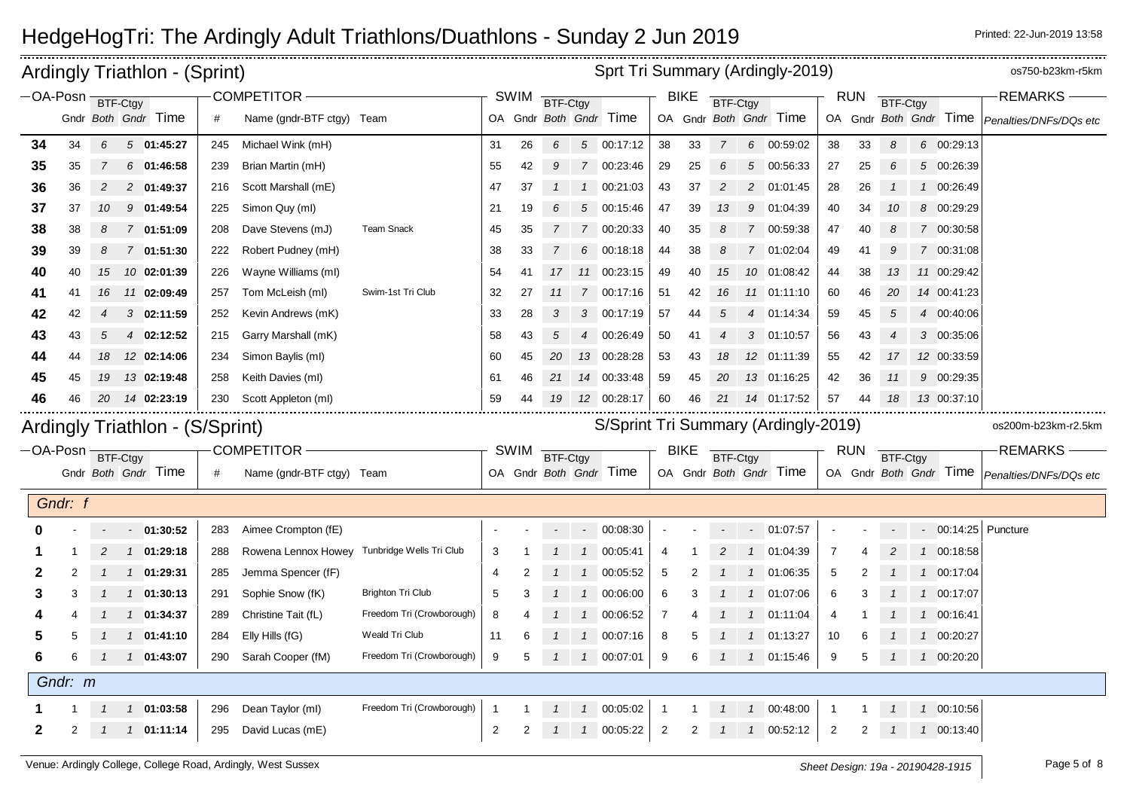|                   |                |                | Ardingly Triathlon - (Sprint)   |     |                                              |                           |                |             |          | Sprt Tri Summary (Ardingly-2019) |                                      |                |                |                |               |                        |                |            |                 | os750-b23km-r5km |                                                 |
|-------------------|----------------|----------------|---------------------------------|-----|----------------------------------------------|---------------------------|----------------|-------------|----------|----------------------------------|--------------------------------------|----------------|----------------|----------------|---------------|------------------------|----------------|------------|-----------------|------------------|-------------------------------------------------|
| -OA-Posn BTF-Ctgy |                |                |                                 |     | COMPETITOR-                                  |                           |                | <b>SWIM</b> | BTF-Ctgy |                                  |                                      |                | <b>BIKE</b>    | BTF-Ctgy       |               |                        |                | <b>RUN</b> | <b>BTF-Ctgy</b> |                  | REMARKS-                                        |
|                   |                |                | Gndr Both Gndr Time             | #   | Name (gndr-BTF ctgy) Team                    |                           |                |             |          |                                  | OA Gndr Both Gndr Time               |                |                |                |               | OA Gndr Both Gndr Time |                |            |                 |                  | OA Gndr Both Gndr Time   Penalties/DNFs/DQs etc |
| 34                | 34             | 6              | $5$ 01:45:27                    | 245 | Michael Wink (mH)                            |                           | 31             | 26          | 6        |                                  | 5 00:17:12                           | 38             | 33             | $\overline{7}$ |               | 6 00:59:02             | 38             | 33         | 8               | 6 00:29:13       |                                                 |
| 35                | 35             |                | $6$ 01:46:58                    | 239 | Brian Martin (mH)                            |                           | 55             | 42          | 9        |                                  | 7 00:23:46                           | 29             | 25             | 6              | 5             | 00:56:33               | 27             | 25         | 6               | 5 00:26:39       |                                                 |
| 36                | 36             | $\overline{c}$ | 2 01:49:37                      | 216 | Scott Marshall (mE)                          |                           | 47             | 37          |          |                                  | $1$ 00:21:03                         | 43             | 37             | 2              |               | 2 01:01:45             | 28             | 26         |                 | 1 00:26:49       |                                                 |
| 37                | 37             | 10             | 9 01:49:54                      | 225 | Simon Quy (ml)                               |                           | 21             | 19          | 6        |                                  | 5 00:15:46                           | 47             | 39             | 13             | 9             | 01:04:39               | 40             | 34         | 10              | 8 00:29:29       |                                                 |
| 38                | 38             | 8              | 7 01:51:09                      | 208 | Dave Stevens (mJ)                            | <b>Team Snack</b>         | 45             | 35          |          |                                  | 7 00:20:33                           | 40             | 35             | 8              |               | 7 00:59:38             | 47             | 40         | 8               | 7 00:30:58       |                                                 |
| 39                | 39             | 8              | 7 01:51:30                      | 222 | Robert Pudney (mH)                           |                           | 38             | 33          |          | 6                                | 00:18:18                             | 44             | 38             | 8              |               | 7 01:02:04             | 49             | 41         | .g              | 7 00:31:08       |                                                 |
| 40                | 40             | 15             | 10 02:01:39                     | 226 | Wayne Williams (ml)                          |                           | 54             | 41          | 17       |                                  | 11 00:23:15                          | 49             | 40             | 15             |               | 10 01:08:42            | 44             | 38         | 13              | 11 00:29:42      |                                                 |
| 41                | 41             | 16             | 11 02:09:49                     | 257 | Tom McLeish (ml)                             | Swim-1st Tri Club         | 32             | 27          | 11       |                                  | 7 00:17:16                           | 51             | 42             | 16             |               | 11 01:11:10            | 60             | 46         | 20              | 14 00:41:23      |                                                 |
| 42                | 42             | 4              | $3$ 02:11:59                    | 252 | Kevin Andrews (mK)                           |                           | 33             | 28          | 3        |                                  | 3 00:17:19                           | 57             | 44             | 5              | 4             | 01:14:34               | 59             | 45         | 5               | 4 00:40:06       |                                                 |
| 43                | 43             | 5              | 4 02:12:52                      | 215 | Garry Marshall (mK)                          |                           | 58             | 43          | 5        |                                  | 4 00:26:49                           | 50             | 41             |                |               | 3 01:10:57             | 56             | 43         |                 | 3 00:35:06       |                                                 |
| 44                | 44             | 18             | 12 02:14:06                     | 234 | Simon Baylis (ml)                            |                           | 60             | 45          | 20       |                                  | 13 00:28:28                          | 53             | 43             | 18             |               | 12 01:11:39            | 55             | 42         | 17              | 12 00:33:59      |                                                 |
| 45                | 45             | 19             | 13 02:19:48                     | 258 | Keith Davies (ml)                            |                           | 61             | 46          | 21       |                                  | 14 00:33:48                          | 59             | 45             | 20             |               | 13 01:16:25            | 42             | 36         | 11              | 9 00:29:35       |                                                 |
| 46                | 46             |                | 20 14 02:23:19                  | 230 | Scott Appleton (ml)                          |                           | 59             | 44          | 19       |                                  | 12 00:28:17                          | 60             | 46             | 21             |               | 14 01:17:52            | 57             | 44         | 18              | 13 00:37:10      |                                                 |
|                   |                |                | Ardingly Triathlon - (S/Sprint) |     |                                              |                           |                |             |          |                                  | S/Sprint Tri Summary (Ardingly-2019) |                |                |                |               |                        |                |            |                 |                  | os200m-b23km-r2.5km                             |
| -OA-Posn BTF-Ctgy |                |                |                                 |     | COMPETITOR -                                 |                           |                | <b>SWIM</b> | BTF-Ctgy |                                  |                                      |                | <b>BIKE</b>    | BTF-Ctgy       |               |                        |                | <b>RUN</b> | BTF-Ctgy        |                  | <b>REMARKS-</b>                                 |
|                   |                |                | Gndr Both Gndr Time             | #   | Name (gndr-BTF ctgy) Team                    |                           |                |             |          |                                  | OA Gndr Both Gndr Time               |                |                |                |               | OA Gndr Both Gndr Time |                |            |                 |                  | OA Gndr Both Gndr Time   Penalties/DNFs/DQs etc |
|                   | Gndr: f        |                |                                 |     |                                              |                           |                |             |          |                                  |                                      |                |                |                |               |                        |                |            |                 |                  |                                                 |
|                   |                |                | 01:30:52<br>$\sim$              | 283 | Aimee Crompton (fE)                          |                           |                |             |          | $\overline{\phantom{a}}$         | 00:08:30                             |                |                |                | $\sim$ $-$    | 01:07:57               |                |            |                 |                  | $-$ 00:14:25 Puncture                           |
|                   |                |                | 1 01:29:18                      | 288 | Rowena Lennox Howey Tunbridge Wells Tri Club |                           | 3              |             |          |                                  | 100:05:41                            | 4              |                | 2              |               | 1 01:04:39             | -7             |            |                 | 1 00:18:58       |                                                 |
| 2                 | 2              |                | 01:29:31<br>$\overline{1}$      | 285 | Jemma Spencer (fF)                           |                           | 4              | 2           |          | $\mathcal{I}$                    | 00:05:52                             | 5              | 2              |                | $\mathcal{I}$ | 01:06:35               | 5              |            |                 | 1 00:17:04       |                                                 |
| 3                 | 3              | $\mathcal I$   | $1 \quad 01:30:13$              | 291 | Sophie Snow (fK)                             | <b>Brighton Tri Club</b>  | 5              | 3           |          | $\mathcal{I}$                    | 00:06:00                             | 6              | 3              |                |               | 1 01:07:06             | 6              | З          |                 | 1 00:17:07       |                                                 |
|                   |                |                | 1 01:34:37                      | 289 | Christine Tait (fL)                          | Freedom Tri (Crowborough) | 8              |             |          | $\mathbf{1}$                     | 00:06:52                             | 7              |                |                |               | 1 01:11:04             | 4              |            |                 | 1 00:16:41       |                                                 |
|                   |                |                | $1$ 01:41:10                    | 284 | Elly Hills (fG)                              | Weald Tri Club            | 11             | 6           |          | $\mathcal{I}$                    | 00:07:16                             | 8              | 5              |                |               | 1 01:13:27             | 10             | 6          |                 | 1 00:20:27       |                                                 |
| 6                 | 6              |                | 1 01:43:07                      | 290 | Sarah Cooper (fM)                            | Freedom Tri (Crowborough) | 9              | 5           |          | $\mathcal{I}$                    | 00:07:01                             | 9              | 6              | $\mathcal I$   |               | 1 01:15:46             | 9              | 5          |                 | 1 00:20:20       |                                                 |
|                   | Gndr: m        |                |                                 |     |                                              |                           |                |             |          |                                  |                                      |                |                |                |               |                        |                |            |                 |                  |                                                 |
|                   |                |                | 1 01:03:58                      | 296 | Dean Taylor (ml)                             | Freedom Tri (Crowborough) | -1             |             |          |                                  | 1 00:05:02                           | -1             |                | $\mathcal{I}$  |               | 1 00:48:00             | -1             |            | $\mathcal{I}$   | 1 00:10:56       |                                                 |
| 2                 | $\overline{2}$ |                | 1 01:11:14                      | 295 | David Lucas (mE)                             |                           | $\overline{2}$ | 2           |          |                                  | 1 00:05:22                           | $\overline{2}$ | $\overline{2}$ | $\overline{1}$ |               | 1 00:52:12             | $\overline{2}$ | 2          | $\overline{1}$  | 1 00:13:40       |                                                 |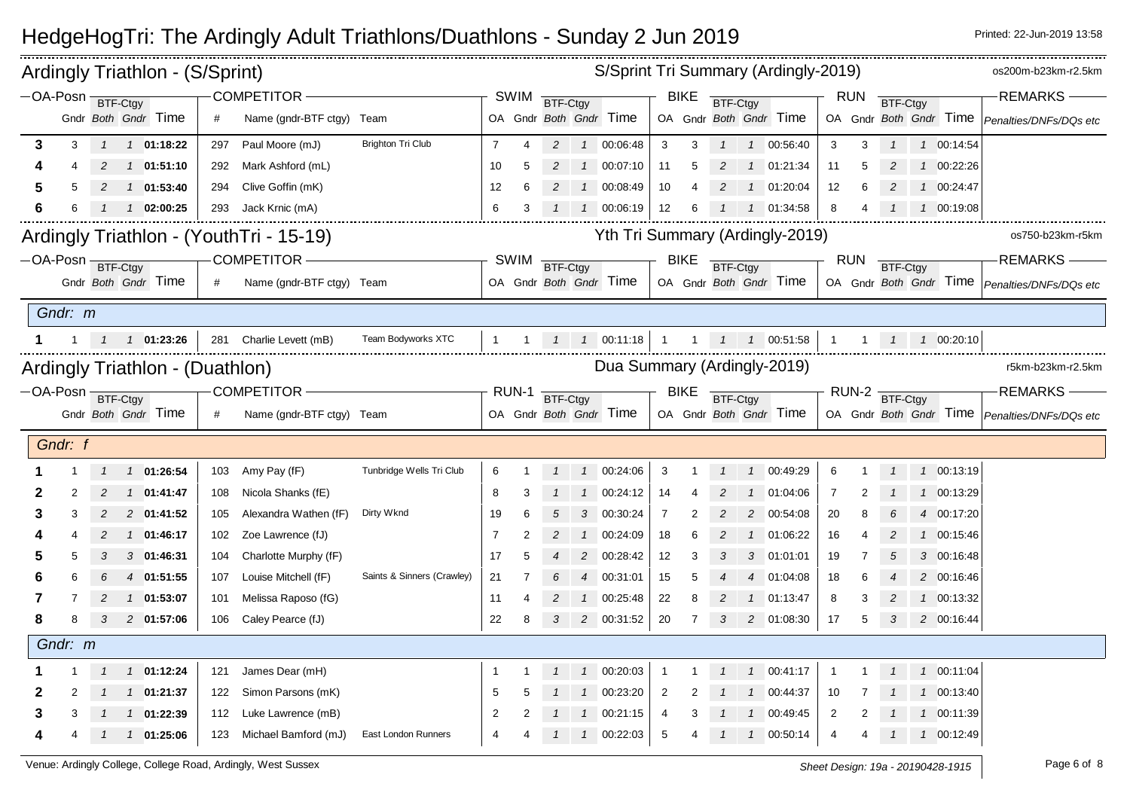|         |                            |   | Ardingly Triathlon - (S/Sprint) |     |                                         |                            |                |                |                |                             |                            |                |             |                 |                | S/Sprint Tri Summary (Ardingly-2019) |                   |                  |                 |                   | os200m-b23km-r2.5km                                  |
|---------|----------------------------|---|---------------------------------|-----|-----------------------------------------|----------------------------|----------------|----------------|----------------|-----------------------------|----------------------------|----------------|-------------|-----------------|----------------|--------------------------------------|-------------------|------------------|-----------------|-------------------|------------------------------------------------------|
|         | $-OA-Posn$ <b>BTF-Ctgy</b> |   |                                 |     | COMPETITOR-                             |                            |                | <b>SWIM</b>    | BTF-Ctgy       |                             |                            |                | <b>BIKE</b> | BTF-Ctgy        |                |                                      |                   | <b>RUN</b>       | BTF-Ctgy        |                   | <b>REMARKS</b>                                       |
|         |                            |   | Gndr Both Gndr Time             | #   | Name (gndr-BTF ctgy) Team               |                            |                |                |                |                             | OA Gndr Both Gndr Time     |                |             |                 |                | OA Gndr Both Gndr Time               |                   |                  |                 |                   | OA Gndr Both Gndr Time   Penalties/DNFs/DQs etc      |
| 3       | 3                          |   | 1 1 01:18:22                    | 297 | Paul Moore (mJ)                         | <b>Brighton Tri Club</b>   | $\overline{7}$ | 4              |                |                             | 2  1  00:06:48             | 3              | 3           | $\mathbf{1}$    |                | 1 00:56:40                           | 3                 | 3                |                 | 1 00:14:54        |                                                      |
|         |                            |   | 1 01:51:10                      | 292 | Mark Ashford (mL)                       |                            | 10             | 5              | $\overline{2}$ |                             | 1 00:07:10                 | 11             | 5           | 2               |                | 1 01:21:34                           | 11                | 5                | 2               | 1 00:22:26        |                                                      |
| 5       |                            |   | 1 01:53:40                      | 294 | Clive Goffin (mK)                       |                            | 12             | 6              |                |                             | 1 00:08:49                 | 10             |             |                 |                | 1 01:20:04                           | $12 \overline{ }$ | 6                |                 | 1 00:24:47        |                                                      |
| 6       |                            |   | $1 \quad 02:00:25$              | 293 | Jack Krnic (mA)                         |                            | 6              | 3              |                |                             | 1  1  00:06:19             | 12             | 6           |                 |                | 1 01:34:58                           | 8                 | 4                | $\overline{1}$  | 1 00:19:08        |                                                      |
|         |                            |   |                                 |     | Ardingly Triathlon - (YouthTri - 15-19) |                            |                |                |                |                             |                            |                |             |                 |                | Yth Tri Summary (Ardingly-2019)      |                   |                  |                 |                   | os750-b23km-r5km                                     |
|         | -OA-Posn BTF-Ctgy          |   |                                 |     | COMPETITOR -                            |                            |                | <b>SWIM</b>    | BTF-Ctgy       |                             |                            |                | <b>BIKE</b> | <b>BTF-Ctgy</b> |                |                                      |                   | <b>RUN</b>       | <b>BTF-Ctgy</b> |                   | -REMARKS-                                            |
|         |                            |   | Gndr Both Gndr Time             | #   | Name (gndr-BTF ctgy) Team               |                            |                |                |                |                             | OA Gndr Both Gndr Time     |                |             |                 |                | OA Gndr Both Gndr Time               |                   |                  |                 |                   | OA Gndr Both Gndr Time   Penalties/DNFs/DQs etc      |
| Gndr: m |                            |   |                                 |     |                                         |                            |                |                |                |                             |                            |                |             |                 |                |                                      |                   |                  |                 |                   |                                                      |
|         |                            |   | 1 1 01:23:26                    |     | 281 Charlie Levett (mB)                 | Team Bodyworks XTC         | $\mathbf{1}$   | $\overline{1}$ |                |                             | $1 \quad 1 \quad 00:11:18$ | $\overline{1}$ |             |                 |                | 1  1  1  00:51:58                    | $\overline{1}$    |                  |                 | 1  1  1  00:20:10 |                                                      |
|         |                            |   | Ardingly Triathlon - (Duathlon) |     |                                         |                            |                |                |                | Dua Summary (Ardingly-2019) |                            |                |             |                 |                |                                      |                   |                  |                 | r5km-b23km-r2.5km |                                                      |
|         | $-OA-Posn$ BTF-Ctgy        |   |                                 |     | COMPETITOR-                             |                            |                | RUN-1          | BTF-Ctgy       |                             |                            |                | BIKE        | BTF-Ctgy        |                |                                      |                   | $RUN-2$ BTF-Ctgy |                 |                   | <b>REMARKS</b>                                       |
|         |                            |   | Gndr Both Gndr Time             | #   | Name (gndr-BTF ctgy) Team               |                            |                |                |                |                             | OA Gndr Both Gndr Time     |                |             |                 |                | OA Gndr Both Gndr Time               |                   |                  |                 |                   | OA Gndr Both Gndr Time <i>Penalties/DNFs/DQs etc</i> |
|         | Gndr: f                    |   |                                 |     |                                         |                            |                |                |                |                             |                            |                |             |                 |                |                                      |                   |                  |                 |                   |                                                      |
|         |                            |   |                                 |     |                                         |                            |                |                |                |                             |                            |                |             |                 |                |                                      |                   |                  |                 |                   |                                                      |
|         |                            |   | 1 01:26:54                      |     | 103 Amy Pay (fF)                        | Tunbridge Wells Tri Club   | 6              |                |                |                             | $1$ 00:24:06               | 3              |             |                 | $\overline{1}$ | 00:49:29                             | 6                 |                  |                 | 1 00:13:19        |                                                      |
|         |                            |   | 1 01:41:47                      | 108 | Nicola Shanks (fE)                      |                            | 8              |                |                |                             | 1 00:24:12                 | 14             |             |                 |                | 01:04:06                             | 7                 |                  |                 | 1 00:13:29        |                                                      |
| 3       | 3                          | 2 | 2 01:41:52                      | 105 | Alexandra Wathen (fF)                   | Dirty Wknd                 | 19             | 6              |                | 3                           | 00:30:24                   | $\overline{7}$ | 2           |                 | 2              | 00:54:08                             | 20                | 8                |                 | 4 00:17:20        |                                                      |
|         |                            | 2 | 1 01:46:17                      | 102 | Zoe Lawrence (fJ)                       |                            | 7              | 2              | 2              |                             | 1 00:24:09                 | 18             | 6           |                 |                | 01:06:22                             | 16                | Δ                |                 | 1 00:15:46        |                                                      |
| 5       |                            |   | 3 01:46:31                      | 104 | Charlotte Murphy (fF)                   |                            | 17             |                |                |                             | 2 00:28:42                 | 12             | 3           |                 | 3              | 01:01:01                             | 19                |                  |                 | 3 00:16:48        |                                                      |
|         |                            |   | 4 01:51:55                      | 107 | Louise Mitchell (fF)                    | Saints & Sinners (Crawley) | 21             |                |                |                             | 4 00:31:01                 | 15             | 5           |                 | $\overline{4}$ | 01:04:08                             | 18                | 6                |                 | 2 00:16:46        |                                                      |
|         |                            |   | 1 01:53:07                      | 101 | Melissa Raposo (fG)                     |                            | 11             |                |                |                             | 1 00:25:48                 | 22             | 8           |                 | $\overline{1}$ | 01:13:47                             | 8                 | 3                | 2               | 1 00:13:32        |                                                      |
| 8       |                            |   | 2 01:57:06                      | 106 | Caley Pearce (fJ)                       |                            | 22             | 8              |                |                             | 2 00:31:52                 | 20             | 7           | 3               |                | 2 01:08:30                           | 17                | 5                | 3               | 2 00:16:44        |                                                      |
|         | Gndr: m                    |   |                                 |     |                                         |                            |                |                |                |                             |                            |                |             |                 |                |                                      |                   |                  |                 |                   |                                                      |
|         |                            |   | 1 1 01:12:24                    | 121 | James Dear (mH)                         |                            |                |                |                |                             | 1 00:20:03                 | $\overline{1}$ |             |                 |                | 100:41:17                            | $\overline{1}$    |                  |                 | 1  1  00:11:04    |                                                      |
|         |                            |   | 1 01:21:37                      | 122 | Simon Parsons (mK)                      |                            | 5              |                |                |                             | 1 00:23:20                 | 2              |             |                 | $\overline{1}$ | 00:44:37                             | 10                |                  |                 | 1 00:13:40        |                                                      |
| 3       |                            |   | 1 01:22:39                      |     | 112 Luke Lawrence (mB)                  |                            | $\overline{2}$ |                |                |                             | 100:21:15                  | 4              |             |                 |                | 1 00:49:45                           | 2                 |                  |                 | 1 00:11:39        |                                                      |
|         | 4                          |   | 1 1 01:25:06                    |     | 123 Michael Bamford (mJ)                | East London Runners        | $\overline{4}$ |                |                |                             | $1 \quad 1 \quad 00:22:03$ | 5              | 4           | $\mathcal{I}$   |                | 1 00:50:14                           | 4                 | 4                | $\mathcal{I}$   | 1 00:12:49        |                                                      |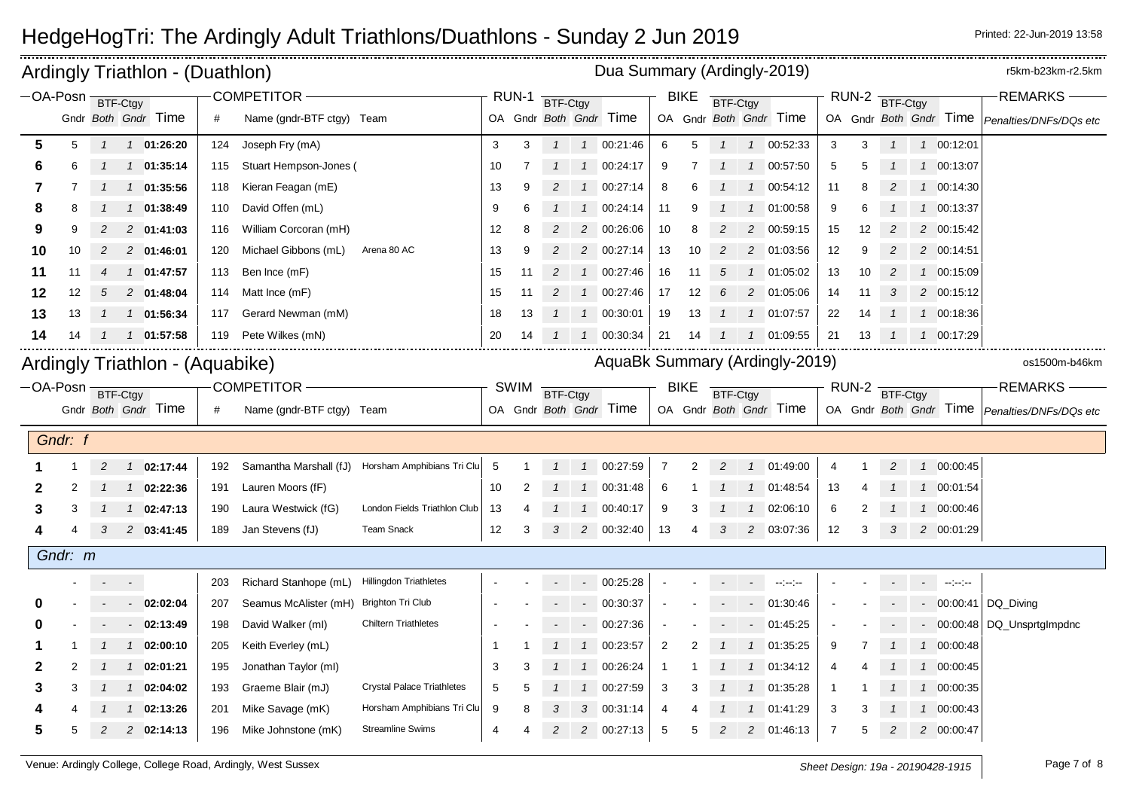|                                 |         |                |                           | Ardingly Triathlon - (Duathlon) |     |                                                |                                   |                |             |                 |                | Dua Summary (Ardingly-2019)    |                |                |                |                |                            |                |    |                  |                                            | r5km-b23km-r2.5km                                    |
|---------------------------------|---------|----------------|---------------------------|---------------------------------|-----|------------------------------------------------|-----------------------------------|----------------|-------------|-----------------|----------------|--------------------------------|----------------|----------------|----------------|----------------|----------------------------|----------------|----|------------------|--------------------------------------------|------------------------------------------------------|
| -OA-Posn BTF-Ctgy               |         |                |                           | Gndr Both Gndr Time             | #   | <b>COMPETITOR</b><br>Name (gndr-BTF ctgy) Team |                                   |                | RUN-1       | BTF-Ctgy        |                | OA Gndr Both Gndr Time         |                | <b>BIKE</b>    | BTF-Ctgy       |                | OA Gndr Both Gndr Time     | RUN-2          |    | BTF-Ctgy         | OA Gndr Both Gndr Time                     | <b>REMARKS</b><br>Penalties/DNFs/DQs etc             |
| 5                               | 5       | $\mathbf{1}$   |                           | $1 \quad 01:26:20$              | 124 | Joseph Fry (mA)                                |                                   | 3              | 3           | $\mathcal{I}$   |                | 1 00:21:46                     | 6              | 5              | $\mathbf{1}$   |                | 1 00:52:33                 | 3              | 3  | $\mathbf{1}$     | 1 00:12:01                                 |                                                      |
| 6                               | 6       |                |                           | 1 01:35:14                      | 115 | Stuart Hempson-Jones (                         |                                   | 10             |             |                 | $\overline{1}$ | 00:24:17                       | 9              |                |                | $1 \quad 1$    | 00:57:50                   | 5              | 5  |                  | 1 00:13:07                                 |                                                      |
| 7                               |         |                |                           | 1 01:35:56                      | 118 | Kieran Feagan (mE)                             |                                   | 13             | 9           | 2               | $\overline{1}$ | 00:27:14                       | 8              | 6              |                | $\mathcal{I}$  | 00:54:12                   | 11             |    |                  | 1 00:14:30                                 |                                                      |
| 8                               |         |                | $\mathcal{I}$             | 01:38:49                        | 110 | David Offen (mL)                               |                                   | 9              | 6           |                 | $\mathcal I$   | 00:24:14                       | 11             | 9              |                | $\overline{1}$ | 01:00:58                   | 9              |    |                  | 1 00:13:37                                 |                                                      |
| 9                               |         |                |                           | 2 01:41:03                      | 116 | William Corcoran (mH)                          |                                   | 12             | 8           |                 | $\overline{c}$ | 00:26:06                       | 10             | 8              |                |                | 2 00:59:15                 | 15             | 12 |                  | 2 00:15:42                                 |                                                      |
| 10                              | 10      | 2              |                           | 2 01:46:01                      | 120 | Michael Gibbons (mL)                           | Arena 80 AC                       | 13             | 9           | 2               | $\overline{c}$ | 00:27:14                       | 13             | 10             | 2              |                | 2 01:03:56                 | 12             | 9  | 2                | 2 00:14:51                                 |                                                      |
| 11                              | 11      | $\overline{4}$ |                           | 1 01:47:57                      | 113 | Ben Ince (mF)                                  |                                   | 15             | 11          | $\overline{c}$  | $\mathcal{I}$  | 00:27:46                       | 16             | 11             | 5              |                | 1 01:05:02                 | 13             | 10 | 2                | 1 00:15:09                                 |                                                      |
| 12                              | 12      | .5             |                           | 2 01:48:04                      | 114 | Matt Ince (mF)                                 |                                   | 15             | 11          | 2               | $\mathcal{I}$  | 00:27:46                       | 17             | 12             | 6              | 2              | 01:05:06                   | 14             | 11 | 3                | 2 00:15:12                                 |                                                      |
| 13                              | 13      |                |                           | 1 01:56:34                      | 117 | Gerard Newman (mM)                             |                                   | 18             | 13          | $1 \quad 1$     |                | 00:30:01                       | 19             | 13             |                |                | $1 \quad 1 \quad 01:07:57$ | 22             | 14 |                  | 1 00:18:36                                 |                                                      |
| 14                              | 14      |                | $\mathcal{I}$             | 01:57:58                        | 119 | Pete Wilkes (mN)                               |                                   | 20             | 14          |                 | $\mathcal{I}$  | 00:30:34                       | 21             | 14             | 1              | $\mathcal{I}$  | 01:09:55                   | 21             | 13 |                  | 1 00:17:29                                 |                                                      |
| Ardingly Triathlon - (Aquabike) |         |                |                           |                                 |     |                                                |                                   |                |             |                 |                | AquaBk Summary (Ardingly-2019) |                |                |                |                |                            |                |    |                  |                                            | os1500m-b46km                                        |
| -OA-Posn BTF-Ctgy               |         |                |                           |                                 |     | COMPETITOR-                                    |                                   |                | <b>SWIM</b> |                 |                |                                |                | <b>BIKE</b>    |                |                |                            |                |    | $RUN-2$ BTF-Ctgy |                                            | <b>REMARKS</b>                                       |
|                                 |         |                |                           | Gndr Both Gndr Time             | #   | Name (gndr-BTF ctgy) Team                      |                                   |                |             | <b>BTF-Ctgy</b> |                | OA Gndr Both Gndr Time         |                |                | BTF-Ctgy       |                | OA Gndr Both Gndr Time     |                |    |                  |                                            | OA Gndr Both Gndr Time <i>Penalties/DNFs/DQs etc</i> |
|                                 |         |                |                           |                                 |     |                                                |                                   |                |             |                 |                |                                |                |                |                |                |                            |                |    |                  |                                            |                                                      |
|                                 | Gndr: f |                |                           |                                 |     |                                                |                                   |                |             |                 |                |                                |                |                |                |                |                            |                |    |                  |                                            |                                                      |
|                                 |         | 2              |                           | 1 02:17:44                      | 192 | Samantha Marshall (fJ)                         | Horsham Amphibians Tri Clu        | 5              |             |                 | $\overline{1}$ | 00:27:59                       | $\overline{7}$ | $\overline{2}$ | $\overline{2}$ |                | 1 01:49:00                 | 4              |    | $\overline{c}$   | 1 00:00:45                                 |                                                      |
| 2                               |         |                |                           | $1 \quad 02:22:36$              | 191 | Lauren Moors (fF)                              |                                   | 10             |             |                 | $\overline{1}$ | 00:31:48                       | 6              |                |                |                | 1 01:48:54                 | 13             |    |                  | 1 00:01:54                                 |                                                      |
| 3                               | 3       |                |                           | 1 02:47:13                      | 190 | Laura Westwick (fG)                            | London Fields Triathlon Club      | 13             | 4           |                 | $\mathcal{I}$  | 00:40:17                       | 9              | 3              | $\mathcal{I}$  | $\overline{1}$ | 02:06:10                   | 6              |    |                  | 1 00:00:46                                 |                                                      |
|                                 |         | 3              |                           | 2 03:41:45                      | 189 | Jan Stevens (fJ)                               | <b>Team Snack</b>                 | 12             | 3           | 3               | $\overline{2}$ | 00:32:40                       | 13             | 4              | 3              |                | 2 03:07:36                 | 12             | 3  | 3                | 2 00:01:29                                 |                                                      |
|                                 | Gndr: m |                |                           |                                 |     |                                                |                                   |                |             |                 |                |                                |                |                |                |                |                            |                |    |                  |                                            |                                                      |
|                                 |         |                | $\sigma_{\rm{max}}=0.000$ |                                 | 203 | Richard Stanhope (mL)                          | <b>Hillingdon Triathletes</b>     |                |             |                 |                | $-00:25:28$                    |                |                |                | $\sim 100$     | <b>Section</b>             |                |    |                  | $\sigma_{\rm eff} = 100$ and the particles |                                                      |
|                                 |         |                | $\sim$                    | 02:02:04                        | 207 | Seamus McAlister (mH) Brighton Tri Club        |                                   |                |             |                 | $\sim$         | 00:30:37                       |                |                |                | $\sim$         | 01:30:46                   |                |    |                  | $-00:00:41$                                | DQ Diving                                            |
| 0                               |         |                |                           | $-02:13:49$                     | 198 | David Walker (ml)                              | <b>Chiltern Triathletes</b>       |                |             |                 | $\sim$         | 00:27:36                       |                |                |                |                | $-01:45:25$                |                |    |                  |                                            | - 00:00:48 DQ Unsprtglmpdnc                          |
| 1                               |         |                |                           | $1$ 02:00:10                    | 205 | Keith Everley (mL)                             |                                   | -1             |             |                 | $\overline{1}$ | 00:23:57                       | $\overline{2}$ | 2              | $\mathcal I$   |                | 1 01:35:25                 | 9              |    |                  | 1 00:00:48                                 |                                                      |
| 2                               |         |                | $\mathcal{I}$             | 02:01:21                        | 195 | Jonathan Taylor (ml)                           |                                   | 3              | 3           |                 | $\mathcal I$   | 00:26:24                       | -1             |                |                | $\mathcal{I}$  | 01:34:12                   | 4              |    |                  | 1 00:00:45                                 |                                                      |
| 3                               |         |                |                           | 1 02:04:02                      | 193 | Graeme Blair (mJ)                              | <b>Crystal Palace Triathletes</b> | 5              | 5           |                 |                | 00:27:59                       | 3              | 3              |                | $\mathcal{I}$  | 01:35:28                   | -1             |    |                  | 1 00:00:35                                 |                                                      |
|                                 |         |                |                           | 02:13:26                        | 201 | Mike Savage (mK)                               | Horsham Amphibians Tri Clu        | 9              |             |                 | 3              | 00:31:14                       | $\overline{4}$ |                |                | $\overline{1}$ | 01:41:29                   | 3              |    |                  | 1 00:00:43                                 |                                                      |
| 5                               | 5       |                |                           | 2 02:14:13                      | 196 | Mike Johnstone (mK)                            | <b>Streamline Swims</b>           | $\overline{4}$ |             | 2               |                | 2 00:27:13                     | 5              | 5              | $\overline{c}$ |                | 2 01:46:13                 | $\overline{7}$ | 5  |                  | 2 00:00:47                                 |                                                      |